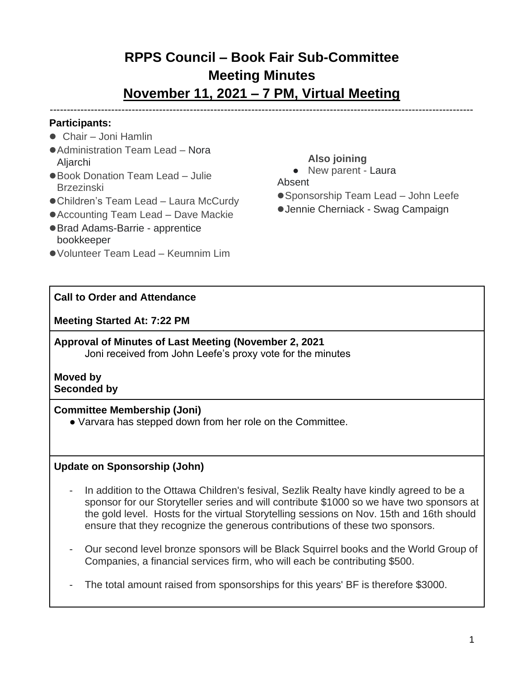# **RPPS Council – Book Fair Sub-Committee Meeting Minutes**

**November 11, 2021 – 7 PM, Virtual Meeting**  ----------------------------------------------------------------------------------------------------------------------------

## **Participants:**

- Chair Joni Hamlin
- Administration Team Lead Nora Aljarchi
- ●Book Donation Team Lead Julie Brzezinski
- Children's Team Lead Laura McCurdy
- Accounting Team Lead Dave Mackie
- ●Brad Adams-Barrie apprentice bookkeeper
- ●Volunteer Team Lead Keumnim Lim

## **Also joining**

● New parent - Laura

## Absent

- Sponsorship Team Lead John Leefe
- Jennie Cherniack Swag Campaign

# **Call to Order and Attendance**

## **Meeting Started At: 7:22 PM**

## **Approval of Minutes of Last Meeting (November 2, 2021** Joni received from John Leefe's proxy vote for the minutes

#### **Moved by Seconded by**

## **Committee Membership (Joni)**

● Varvara has stepped down from her role on the Committee.

## **Update on Sponsorship (John)**

- In addition to the Ottawa Children's fesival, Sezlik Realty have kindly agreed to be a sponsor for our Storyteller series and will contribute \$1000 so we have two sponsors at the gold level. Hosts for the virtual Storytelling sessions on Nov. 15th and 16th should ensure that they recognize the generous contributions of these two sponsors.
- Our second level bronze sponsors will be Black Squirrel books and the World Group of Companies, a financial services firm, who will each be contributing \$500.
- The total amount raised from sponsorships for this years' BF is therefore \$3000.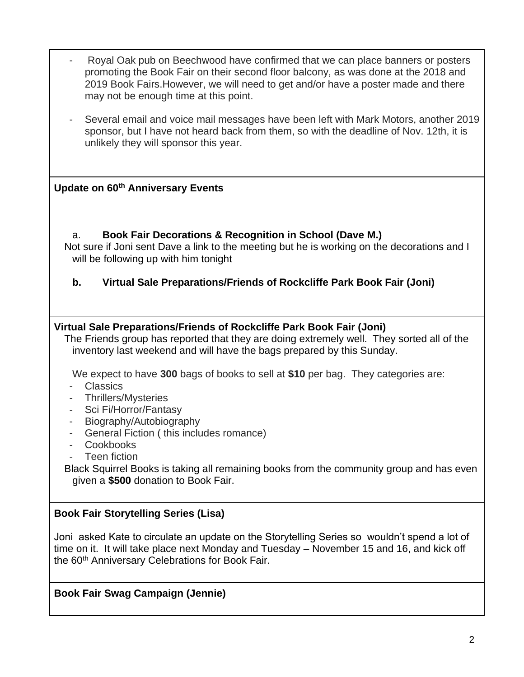| Royal Oak pub on Beechwood have confirmed that we can place banners or posters<br>promoting the Book Fair on their second floor balcony, as was done at the 2018 and<br>2019 Book Fairs. However, we will need to get and/or have a poster made and there<br>may not be enough time at this point. |
|----------------------------------------------------------------------------------------------------------------------------------------------------------------------------------------------------------------------------------------------------------------------------------------------------|
| Several email and voice mail messages have been left with Mark Motors, another 2019<br>sponsor, but I have not heard back from them, so with the deadline of Nov. 12th, it is<br>unlikely they will sponsor this year.                                                                             |
| Update on 60th Anniversary Events                                                                                                                                                                                                                                                                  |
| <b>Book Fair Decorations &amp; Recognition in School (Dave M.)</b><br>a.<br>Not sure if Joni sent Dave a link to the meeting but he is working on the decorations and I<br>will be following up with him tonight                                                                                   |
| b.<br>Virtual Sale Preparations/Friends of Rockcliffe Park Book Fair (Joni)                                                                                                                                                                                                                        |
| Virtual Sale Preparations/Friends of Rockcliffe Park Book Fair (Joni)<br>The Friends group has reported that they are doing extremely well. They sorted all of the<br>inventory last weekend and will have the bags prepared by this Sunday.                                                       |
| We expect to have 300 bags of books to sell at \$10 per bag. They categories are:<br><b>Classics</b><br><b>Thrillers/Mysteries</b><br>Sci Fi/Horror/Fantasy<br>$\overline{\phantom{a}}$<br>Biography/Autobiography<br>General Fiction (this includes romance)                                      |
| Cookbooks<br><b>Teen fiction</b><br>Black Squirrel Books is taking all remaining books from the community group and has even<br>given a \$500 donation to Book Fair.                                                                                                                               |
| <b>Book Fair Storytelling Series (Lisa)</b>                                                                                                                                                                                                                                                        |
| Joni asked Kate to circulate an update on the Storytelling Series so wouldn't spend a lot of<br>time on it. It will take place next Monday and Tuesday – November 15 and 16, and kick off<br>the 60 <sup>th</sup> Anniversary Celebrations for Book Fair.                                          |
| <b>Book Fair Swag Campaign (Jennie)</b>                                                                                                                                                                                                                                                            |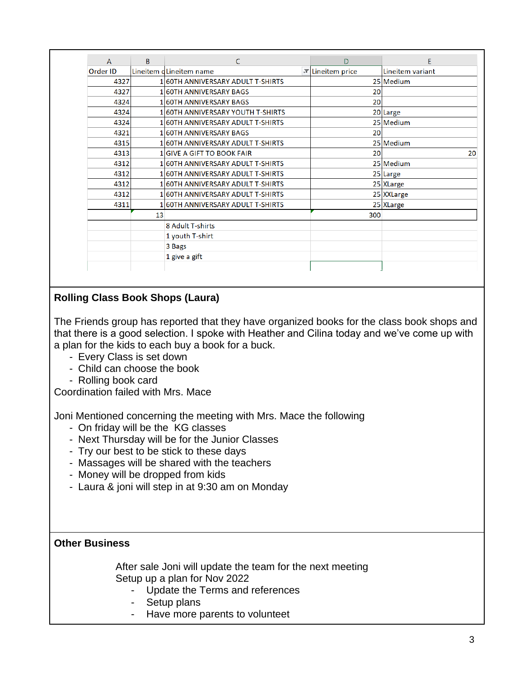| $\overline{A}$ | B  | C                                 | D                       | E                |
|----------------|----|-----------------------------------|-------------------------|------------------|
| Order ID       |    | Lineitem dLineitem name           | <b>T</b> Lineitem price | Lineitem variant |
| 4327           |    | 160TH ANNIVERSARY ADULT T-SHIRTS  |                         | 25 Medium        |
| 4327           |    | 160TH ANNIVERSARY BAGS            | 20                      |                  |
| 4324           |    | 160TH ANNIVERSARY BAGS            | 20                      |                  |
| 4324           |    | 1 60TH ANNIVERSARY YOUTH T-SHIRTS |                         | 20 Large         |
| 4324           |    | 160TH ANNIVERSARY ADULT T-SHIRTS  |                         | 25 Medium        |
| 4321           |    | 160TH ANNIVERSARY BAGS            | 20                      |                  |
| 4315           |    | 1 60TH ANNIVERSARY ADULT T-SHIRTS |                         | 25 Medium        |
| 4313           |    | <b>1 GIVE A GIFT TO BOOK FAIR</b> | 20                      | 20               |
| 4312           |    | 1 60TH ANNIVERSARY ADULT T-SHIRTS |                         | 25 Medium        |
| 4312           |    | 1 60TH ANNIVERSARY ADULT T-SHIRTS |                         | 25 Large         |
| 4312           |    | 1 60TH ANNIVERSARY ADULT T-SHIRTS |                         | 25 XLarge        |
| 4312           |    | 1 60TH ANNIVERSARY ADULT T-SHIRTS |                         | 25 XXLarge       |
| 4311           |    | 1 60TH ANNIVERSARY ADULT T-SHIRTS |                         | 25 XLarge        |
|                | 13 |                                   | 300                     |                  |
|                |    | 8 Adult T-shirts                  |                         |                  |
|                |    | 1 youth T-shirt                   |                         |                  |
|                |    | 3 Bags                            |                         |                  |
|                |    | 1 give a gift                     |                         |                  |

# **Rolling Class Book Shops (Laura)**

The Friends group has reported that they have organized books for the class book shops and that there is a good selection. I spoke with Heather and Cilina today and we've come up with a plan for the kids to each buy a book for a buck.

- Every Class is set down
- Child can choose the book
- Rolling book card

Coordination failed with Mrs. Mace

Joni Mentioned concerning the meeting with Mrs. Mace the following

- On friday will be the KG classes
- Next Thursday will be for the Junior Classes
- Try our best to be stick to these days
- Massages will be shared with the teachers
- Money will be dropped from kids
- Laura & joni will step in at 9:30 am on Monday

## **Other Business**

After sale Joni will update the team for the next meeting Setup up a plan for Nov 2022

- Update the Terms and references
	- Setup plans
	- Have more parents to volunteet